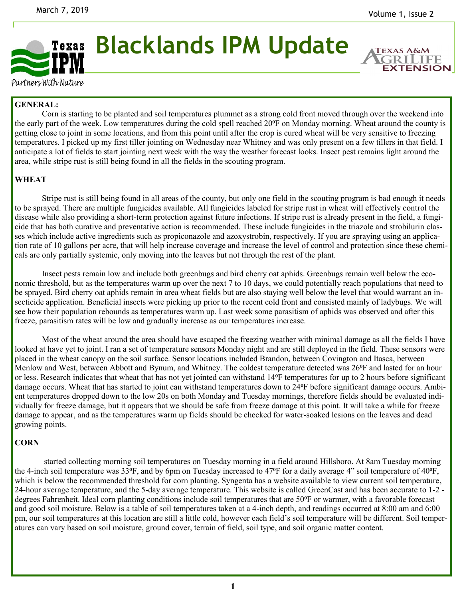

**Blacklands IPM Update**

**EXTENSION** 

Partners With Nature

## **GENERAL:**

Corn is starting to be planted and soil temperatures plummet as a strong cold front moved through over the weekend into the early part of the week. Low temperatures during the cold spell reached 20<sup>o</sup>F on Monday morning. Wheat around the county is getting close to joint in some locations, and from this point until after the crop is cured wheat will be very sensitive to freezing temperatures. I picked up my first tiller jointing on Wednesday near Whitney and was only present on a few tillers in that field. I anticipate a lot of fields to start jointing next week with the way the weather forecast looks. Insect pest remains light around the area, while stripe rust is still being found in all the fields in the scouting program.

## **WHEAT**

Stripe rust is still being found in all areas of the county, but only one field in the scouting program is bad enough it needs to be sprayed. There are multiple fungicides available. All fungicides labeled for stripe rust in wheat will effectively control the disease while also providing a short-term protection against future infections. If stripe rust is already present in the field, a fungicide that has both curative and preventative action is recommended. These include fungicides in the triazole and strobilurin classes which include active ingredients such as propiconazole and azoxystrobin, respectively. If you are spraying using an application rate of 10 gallons per acre, that will help increase coverage and increase the level of control and protection since these chemicals are only partially systemic, only moving into the leaves but not through the rest of the plant.

Insect pests remain low and include both greenbugs and bird cherry oat aphids. Greenbugs remain well below the economic threshold, but as the temperatures warm up over the next 7 to 10 days, we could potentially reach populations that need to be sprayed. Bird cherry oat aphids remain in area wheat fields but are also staying well below the level that would warrant an insecticide application. Beneficial insects were picking up prior to the recent cold front and consisted mainly of ladybugs. We will see how their population rebounds as temperatures warm up. Last week some parasitism of aphids was observed and after this freeze, parasitism rates will be low and gradually increase as our temperatures increase.

Most of the wheat around the area should have escaped the freezing weather with minimal damage as all the fields I have looked at have yet to joint. I ran a set of temperature sensors Monday night and are still deployed in the field. These sensors were placed in the wheat canopy on the soil surface. Sensor locations included Brandon, between Covington and Itasca, between Menlow and West, between Abbott and Bynum, and Whitney. The coldest temperature detected was 26<sup>o</sup>F and lasted for an hour or less. Research indicates that wheat that has not yet jointed can withstand 14<sup>o</sup>F temperatures for up to 2 hours before significant damage occurs. Wheat that has started to joint can withstand temperatures down to 24<sup>o</sup>F before significant damage occurs. Ambient temperatures dropped down to the low 20s on both Monday and Tuesday mornings, therefore fields should be evaluated individually for freeze damage, but it appears that we should be safe from freeze damage at this point. It will take a while for freeze damage to appear, and as the temperatures warm up fields should be checked for water-soaked lesions on the leaves and dead growing points.

## **CORN**

started collecting morning soil temperatures on Tuesday morning in a field around Hillsboro. At 8am Tuesday morning the 4-inch soil temperature was  $33^{\circ}F$ , and by 6pm on Tuesday increased to  $47^{\circ}F$  for a daily average 4" soil temperature of  $40^{\circ}F$ , which is below the recommended threshold for corn planting. Syngenta has a website available to view current soil temperature, 24-hour average temperature, and the 5-day average temperature. This website is called GreenCast and has been accurate to 1-2 degrees Fahrenheit. Ideal corn planting conditions include soil temperatures that are 50°F or warmer, with a favorable forecast and good soil moisture. Below is a table of soil temperatures taken at a 4-inch depth, and readings occurred at 8:00 am and 6:00 pm, our soil temperatures at this location are still a little cold, however each field's soil temperature will be different. Soil temperatures can vary based on soil moisture, ground cover, terrain of field, soil type, and soil organic matter content.